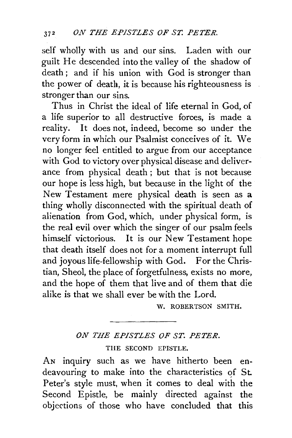self wholly with us and our sins. Laden with our guilt He descended into the valley of the shadow of death ; and if his union with God is stronger than the power of death, it is because his righteousness is stronger than our sins.

Thus in Christ the ideal of life eternal in God, of a life superior to all destructive forces, is made a reality. It does not, indeed, become so under the very form in which our Psalmist conceives of it. We no longer feel entitled to argue from our acceptance with God to victory over physical disease and deliverance from physical death ; but that is not because our hope is less high, but because in the light of the New Testament mere physical death is seen as a thing wholly disconnected with the spiritual death of alienation from God, which, under physical form, is the real evil over which the singer of our psalm feels himself victorious. It is our New Testament hope that death itself does not for a moment interrupt full and joyous life-fellowship with God. For the Christian, Sheol, the place of forgetfulness, exists no more, and the hope of them that live and of them that die alike is that we shall ever be with the Lord.

W. ROBERTSON SMITH.

## *ON THE EPISTLES OF ST. PETER.*

THE SECOND EPISTLE.

AN inquiry such as we have hitherto been endeavouring to make into the characteristics of St. Peter's style must, when it comes to deal with the Second Epistle, be mainly directed against the objections of those who have concluded that this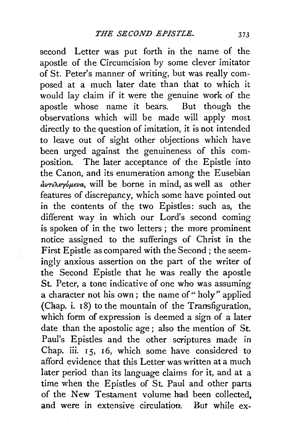second Letter was put forth in the name of the apostle of the Circumcision by some clever imitator of St. Peter's manner of writing, but was really composed at a much later date than that to which it would lay claim if it were the genuine work of the apostle whose name it bears. But though the observations which will be made will apply most directly to the question of imitation, it is not intended to leave out of sight other objections which have been urged against the genuineness of this composition. The later acceptance of the Epistle into the Canon, and its enumeration among the Eusebian *avT£Xeryopeva,* will be borne in mind, as well as other features of discrepancy, which some have pointed out in the contents of the two Epistles: such as, the different way in which our Lord's second coming is spoken of in the two letters ; the more prominent notice assigned to the sufferings of Christ in the First Epistle as compared with the Second; the seemingly anxious assertion on the part of the writer of the Second Epistle that he was really the apostle St. Peter, a tone indicative of one who was assuming a character not his own; the name of "holy" applied (Chap. i. 18) to the mountain of the Transfiguration, which form of expression is deemed a sign of a later date than the apostolic age ; also the mention of St. Paul's Epistles and the other scriptures made in Chap. iii. 15, 16, which some have considered to afford evidence that this Letter was written at a much later period than its language claims for it, and at a time when the Epistles of St. Paul and other parts of the New Testament volume had been collected, and were in extensive circulation. But while ex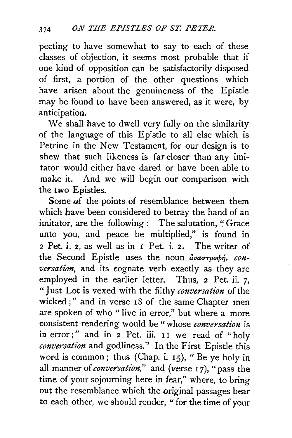pecting to have somewhat to say to each of these classes of objection, it seems most probable that if one kind of opposition can be satisfactorily disposed of first, a portion of the other questions which have arisen about the genuineness of the Epistle may be found to have been answered, as it were, by anticipation.

We shall have to dwell very fully on the similarity of the language of this Epistle to all else which is Petrine in the New Testament, for our design is to shew that such likeness is far closer than any imitator would either have dared or have been able to make it. And we will begin our comparison with the two Epistles.

Some of the points of resemblance between them which have been considered to betray the hand of an imitator, are the following : The salutation, "Grace unto you, and peace be multiplied," is found in 2 Pet. i. 2, as well as in 1 Pet. i. 2. The writer of the Second Epistle uses the noun avaorpoop, con*versation,* and its cogaate verb exactly as they are employed in the earlier letter. Thus, 2 Pet. ii. 7, "Just Lot is vexed with the filthy *conversation* of the wicked;" and in verse 18 of the same Chapter men are spoken of who " live in error," but where a more consistent rendering would be "whose *conversation* is in error;" and in 2 Pet. iii. II we read of "holy conversation and godliness." In the First Epistle this word is common; thus (Chap. i. 15), "Be ye holy in all manner of *conversation*," and (verse 17), "pass the time of your sojourning here in fear," where, to bring out the resemblance which the original passages bear to each other, we should render, " for the time of your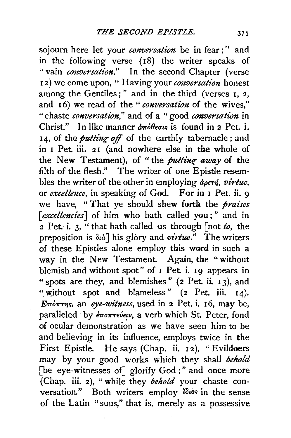sojourn here let your *conversation* be in fear;'' and in the following verse (I8) the writer speaks of " vain *conversation.*" In the second Chapter (verse <sup>I</sup>*2)* we come upon, " Having your *conversation* honest among the Gentiles;" and in the third (verses 1, *2,*  and 16) we read of the "*conversation* of the wives," " chaste *conversation,"* and of a " good *conversation* in Christ." In like manner  $\frac{\partial w}{\partial x}$  is found in 2 Pet. i. 14, of the *putting off* of the earthly tabernacle; and in I Pet. iii. 21 (and nowhere else in the whole of the New Testament), of ''the *putting- away* of the filth of the flesh." The writer of one Epistle resembles the writer of the other in employing  $\phi$ <sub>o</sub>er<sub>'</sub>, *virtue*, or *excellmce,* in speaking of God. For in I Pet. ii. 9 we have, " That ye should shew forth the *praises*  [excellencies] of him who hath called you;" and in  $\overline{2}$  Pet. i. 3, " that hath called us through  $\int$  not *to*, the preposition is  $\delta u$ <sup>1</sup> his glory and *virtue*." The writers of these Epistles alone employ this word in such a way in the New Testament. Again, the "without blemish and without spot" of I Pet. i. 19 appears in " spots are they, and blemishes" (2 Pet. ii. 13), and " without spot and blameless"  $(z \text{ Pet. iii. } I4)$ . E $\pi$ *'o* $\pi$ *r* $\eta$ s, an *eye-witness*, used in 2 Pet. i. 16, may be, paralleled by  $\epsilon \pi$ o $\pi \tau \epsilon \nu \epsilon \nu$ , a verb which St. Peter, fond of ocular demonstration as we have seen him to be and believing in its influence, employs twice in the First Epistle. He says (Chap. ii. I2), "Evildoers may by your good works which they shall *behold*  [be eye-witnesses of] glorify God;" and once more (Chap. iii. 2), "while they *behold* your chaste conversation." Both writers employ ides in the sense of the Latin "suus," that is, merely as a possessive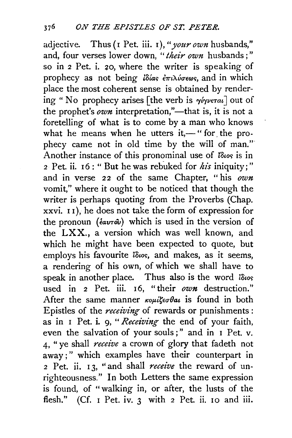adjective. Thus (I Pet. iii. I), "*your own* husbands," and, four verses lower down, *"their own* husbands;" so in 2 Pet. i. 20, where the writer is speaking of prophecy as not being *lotas*  $\epsilon \pi \iota \lambda \iota \sigma \epsilon \omega s$ , and in which place the most coherent sense is obtained by rendering " No prophecy arises [the verb is  $\gamma\gamma\gamma\gamma\epsilon\tau a\tau$ ] out of the prophet's  $own$  interpretation,"—that is, it is not a foretelling of what is to come by a man who knows what he means when he utters it,— " for the prophecy came not in old time by the will of man." Another instance of this pronominal use of  $\delta\omega$  is in 2 Pet. ii. I 6 : " But he was rebuked for *his* iniquity;" and in verse 22 of the same Chapter, "his own vomit," where it ought to be noticed that though the writer is perhaps quoting from the Proverbs (Chap. xxvi. I I), he does not take the form of expression for the pronoun *(εαυτού)* which is used in the version of the LXX., a version which was well known, and which he might have been expected to quote, but employs his favourite tows, and makes, as it seems, a rendering of his own, of which we shall have to speak in another place. Thus also is the word  $\partial\omega$ s used in 2 Pet. iii. I6, "their *own* destruction." After the same manner  $\kappa o\mu i\zeta\epsilon\sigma\theta a\iota$  is found in both Epistles of the *receiving* of rewards or punishments: as in I Pet. i. g, *"Receiving* the end of your faith, even the salvation of your souls ; " and in I Pet. v. 4, "ye shall *receive* a crown of glory that fadeth not away;" which examples have their counterpart in 2 Pet. ii. I 3, "and shall *receive* the reward of unrighteousness." In both Letters the same expression is found, of " walking in, or after, the lusts of the flesh." (Cf. I Pet. iv. 3 with 2 Pet. ii. 10 and iii.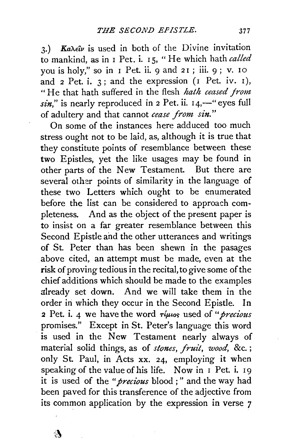3.) **Ka** $\lambda \in \hat{\mathcal{U}}$  is used in both of the Divine invitation to mankind, as in I Pet. i. I 5, " He which hath *called*  you is holy," so in I Pet. ii. 9 and 2 I ; iii. 9 ; v. 10 and  $2$  Pet. i.  $3$ ; and the expression (1 Pet. iv. 1), "He that hath suffered in the flesh *hath ceased from*  sin," is nearly reproduced in 2 Pet. ii. 14,-" eyes full of adultery and that cannot *cease from sin."* 

On some of the instances here adduced too much stress ought not to be laid, as, although it is true that they constitute points of resemblance between these two Epistles, yet the like usages may be found in other parts of the New Testament. But there are several other points of similarity in the language of these two Letters which ought to be enumerated before the list can be considered to approach completeness. And as the object of the present paper is to insist on a far greater resemblance between this Second Epistle and the other utterances and writings of St. Peter than has been shewn in the pasages above cited, an attempt must be made, even at the risk of proving tedious in the recital, to give some of the chief additions which should be made to the examples already set down. And we will take them in the order in which they occur in the Second Epistle. In 2 Pet. i. 4 we have the word  $\tau/\mu$ tos used of "*precious* promises." Except in St. Peter's language this word is used in the New Testament nearly always of material solid things, as of *stones, fruit, wood,* &c. ; only St. Paul, in Acts xx. 24, employing it when speaking of the value of his life. Now in I Pet. i. 19 it is used of the *"precious* blood ; " and the way had been paved for this transference of the adjective from its common application by the expression in verse *7*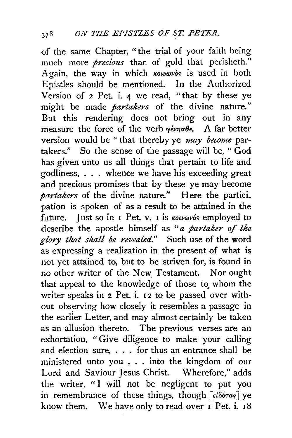of the same Chapter, "the trial of your faith being much more *precious* than of gold that perisheth.'' Again, the way in which **Kolvavos** is used in both Epistles should be mentioned. In the Authorized Version of 2 Pet. i. 4 we read, " that by these ye might be made *partakers* of the divine nature." But this rendering does not bring out in any measure the force of the verb  $\gamma \epsilon \nu \eta \sigma \theta \epsilon$ . A far better version would be " that thereby ye *may become* partakers." So the sense of the passage will be, "God has given unto us all things that pertain to life and godliness, . . . whence we have his exceeding great and precious promises that by these ye may become *partakers* of the divine nature." Here the partici. pation is spoken of as a result to be attained in the future. Just so in I Pet. v. I is *kouvovos* employed to describe the apostle himself as *"a partaker of the glory that shall be revealed."* Such use of the word as expressing a realization in the present of what is not yet attained to, but to be striven for, is found in no other writer of the New Testament. Nor ought that appeal to the knowledge of those to whom the writer speaks in 2 Pet. i. 12 to be passed over without observing how closely it resembles a passage in the earlier Letter, and may almost certainly be taken as an allusion thereto. The previous verses are an exhortation, "Give diligence to make your calling and election sure, . . . for thus an entrance shall be ministered unto you . . . into the kingdom of our Lord and Saviour Jesus Christ. Wherefore," adds the writer, "I will not be negligent to put you in remembrance of these things, though  $\lceil e^{i\delta\phi\tau a_5} \rceil$  ye know them. We have only to read over  $I$  Pet. i.  $18$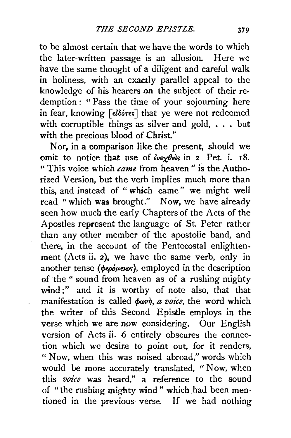to be almost certain that we have the words to which the later-written passage is an allusion. Here we have the same thought of a diligent and careful walk in holiness, with an exactly parallel appeal to the knowledge of his hearers on the subject of their redemption : " Pass the time of your sojourning here in fear, knowing [ $\epsilon l$  $\delta$ ó $\tau$ es] that ye were not redeemed with corruptible things as silver and gold, . . . but with the precious blood of Christ."

Nor, in a comparison like the present, should we omit to notice that use of *ενεχθείς* in 2 Pet. i. 18. " This voice which *came* from heaven " is the Authorized Version, but the verb implies much more than this, and instead of " which came" we might well read "which was brought." Now, we have already seen how much the early Chapters of the Acts of the Apostles represent the language of St. Peter rather than any other member of the apostolic band, and there, in the account of the Pentecostal enlightenment (Acts ii. 2), we have the same verb, only in another tense (peoplews), employed in the description of the" sound from heaven as of a rushing mighty wind;" and it is worthy of note also, that that manifestation is called  $\phi \omega v \dot{\eta}$ , *a voice*, the word which the writer of this Second Epistle employs in the verse which we are now eonsidering. Our English version of Acts ii. 6 entirely obscures the connection which we desire to point out, for it renders, " Now, when this was noised abroad," words which would be more accurately translated, " Now, when this *voice* was heard," a reference to the sound of "the rushing mighty wind" which had been mentioned in the previous verse. If we had nothing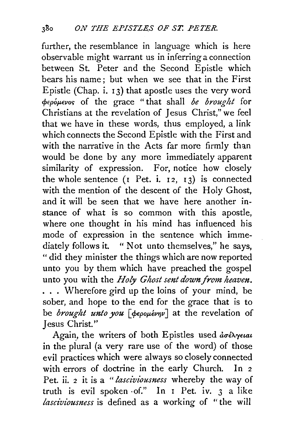further, the resemblance in language which is here observable might warrant us in inferring a connection between St. Peter and the Second Epistle which bears his name; but when we see that in the First Epistle (Chap. i. I3) that apostle uses the very word rpepop,evo~ of the grace "that shall *be brought* for Christians at the revelation of Jesus Christ," we feel that we have in these words, thus employed, a link which connects the Second Epistle with the First and with the narrative in the Acts far more firmly than would be done by any more immediately apparent similarity of expression. For notice how closely the whole sentence  $(I \nvert Pat. \nvert i, i, i, j)$  is connected with the mention of the descent of the Holy Ghost, and it will be seen that we have here another instance of what is so common with this apostle, where one thought in his mind has influenced his mode of expression in the sentence which immediately follows it. " Not unto themselves," he says, " did they minister the things which are now reported unto you by them which have preached the gospel unto you with the *Holy Ghost sent down from heavm.*  ... Wherefore gird up the loins of your mind, be sober, and hope to the end for the grace that is to be *brought unto you* [ $\phi$ *epopévny*] at the revelation of Jesus Christ.''

Again, the writers of both Epistles used  $d\sigma \epsilon \lambda y \epsilon \iota a \iota$ in the plural (a very rare use of the word) of those evil practices which were always so closely connected with errors of doctrine in the early Church. In *<sup>2</sup>* Pet. ii. *2* it is a *"lasciviousness* whereby the way of truth is evil spoken -of." In I Pet. iv. *3* a like *lasciviousness* is defined as a working of "the will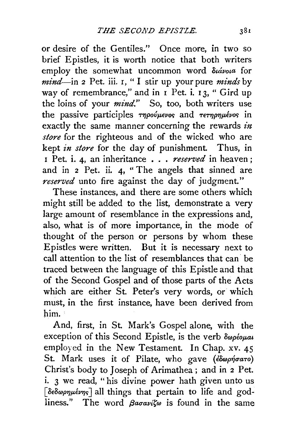or desire of the Gentiles." Once more, in two so brief Epistles, it is worth notice that both writers employ the somewhat uncommon word  $\delta u$ ivota for *mind-in* 2 Pet. iii. r, " I stir up your pure *minds* by way of remembrance," and in  $\overline{I}$  Pet. i.  $\overline{I}$  3, " Gird up the loins of your *mind*." So, too, both writers use the passive participles *τηρούμενος* and *τετηρημένος* in exactly the same manner concerning the rewards *in store* for the righteous and of the wicked who are kept *in store* for the day of punishment. Thus, in <sup>I</sup>Pet. i. 4, an inheritance . . . *reserved* in heaven ; and in 2 Pet. ii. 4, " The angels that sinned are *reserved* unto fire against the day of judgment."

These instances, and there are some others which might still be added to the list, demonstrate a very large amount of resemblance in the expressions and, also, what is of more importance, in the mode of thought of the person or persons by whom these Epistles were written. But it is necessary next to call attention to the list of resemblances that can be traced between the language of this Epistle and that of the Second Gospel and of those parts of the Acts which are either St. Peter's very words, or which must, in the first instance, have been derived from him.

And, first, in St. Mark's Gospel alone, with the exception of this Second Epistle, is the verb  $\delta\omega\rho\epsilon\omega\mu a i$ employed in the New Testament. In Chap. xv. 45 St. Mark uses it of Pilate, who gave (εδωρήσατο) Christ's body to Joseph of Arimathea; and in 2 Pet. i. 3 we read, "his divine power hath given unto us [ $\delta \epsilon \delta \omega \rho \eta \mu \epsilon \nu \eta s$ ] all things that pertain to life and godliness." The word  $\beta a \sigma a \nu i \zeta \omega$  is found in the same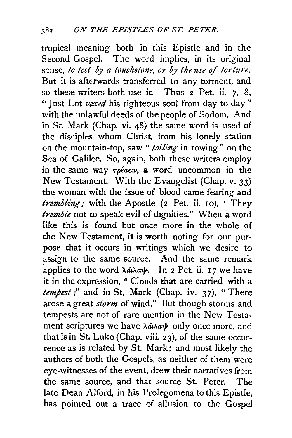tropical meaning both in this Epistle and in the Second Gospel. The word implies, in its original sense, *to test by a touchstone, or by the use* of *torture.*  But it is afterwards transferred to any torment, and so these writers both use it. Thus 2 Pet. ii. 7, 8, ''Just Lot *vexed* his righteous soul from day to day" with the unlawful deeds of the people of Sodom. And in St. Mark (Chap. vi. 48) the same word is used of the disciples whom Christ, from his lonely station on the mountain-top, saw " *toiling* in rowing" on the Sea of Galilee. So, again, both these writers employ in the same way  $\tau \rho \epsilon \mu \epsilon \nu$ , a word uncommon in the New Testament. With the Evangelist (Chap. v. 33) the woman with the issue of blood came fearing and *trembling*; with the Apostle (2 Pet. ii. 10), "They *tremble* not to speak evil of dignities." When a word like this is found but once more in the whole of the New Testament, it is worth noting for our purpose that it occurs in writings which we desire to assign to the same source. And the same remark applies to the word  $\lambda a\lambda a\psi$ . In 2 Pet. ii. 17 we have it in the expression, " Clouds that are carried with a *tempest*;" and in St. Mark (Chap. iv. 37), "There arose a great *storm* of wind." But though storms and tempests are not of rare mention in the New Testament scriptures we have  $\lambda \hat{\mathbf{a}} \lambda \hat{\mathbf{a}} \hat{\mathbf{a}}$  only once more, and that is in St. Luke (Chap. viii. 23), of the same occurrence as is related by St. Mark; and most likely the authors of both the Gospels, as neither of them were eye-witnesses of the event, drew their narratives from the same source, and that source St. Peter. The late Dean Alford, in his Prolegomena to this Epistle, has pointed out a trace of allusion to the Gospel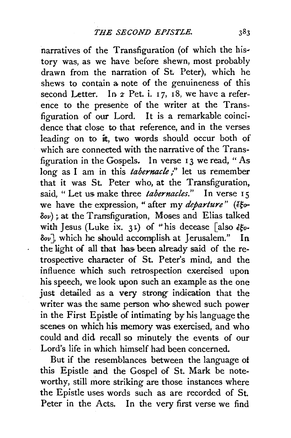narratives of the Transfiguration (of which the history was, as we have before shewn, most probably drawn from the narration of St. Peter), which he shews to contain a note of the genuineness of this second Letter. In  $2$  Pet. i. 17, 18, we have a reference to the presence of the writer at the Transfiguration of our Lord. It is a remarkable coincidence that close to that reference, and in the verses leading on to it, two words should occur both of which are connected with the narrative of the Transfiguration in the Gospels. In verse 13 we read, "As long as I am in this *tabernacle*;" let us remember that it was St. Peter who, at the Transfiguration, said. "Let us make three *tabernacles.*" In verse 15 we have the expression, " after my *departure*" (eg- $\delta_{ov}$ ); at the Transfiguration, Moses and Elias talked with Jesus (Luke ix. 31) of "his decease [also  $\epsilon \xi_0$ - $\delta v$ , which he should accomplish at Jerusalem." In the light of all that has been already said of the retrospective character of St. Peter's mind, and the influence which such retrospection exercised upon his speech, we look upon such an example as the one just detailed as a very strong indication that the writer was the same person who shewed such power in the First Epistle of intimating by his language the scenes on which his memory was exercised, and who could and did recall so minutely the events of our Lord's life in which himself had been concerned.

But if the resemblances between the language of this Epistle and the Gospel of St. Mark be noteworthy, still more striking are those instances where the Epistle uses words such as are recorded of St. Peter in the Acts. In the very first verse we find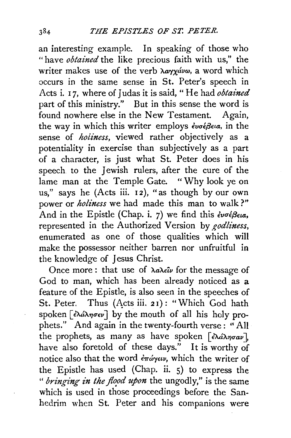an interesting example. In speaking of those who "have *obtained* the like precious faith with us," the writer makes use of the verb  $\lambda a \gamma \chi a \nu \omega$ , a word which occurs in the same sense in St. Peter's speech in Acts i. I7, where of Judas it is said," He had *obtained*  part of this ministry." But in this sense the word is found nowhere else in the New Testament. Again, the way in which this writer employs *€vuefJela,* in the sense of *holiness,* viewed rather objectively as a potentiality in exercise than subjectively as a part of a character, is just what St. Peter does in his speech to the Jewish rulers, after the cure of the lame man at the Temple Gate. "Why look ye on us," says he (Acts iii. 12), "as though by our own power or *holiness* we had made this man to walk?" And in the Epistle (Chap. i. 7) we find this *€vuef3em,*  represented in the Authorized Version by *godliness,*  enumerated as one of those qualities which will make the possessor neither barren nor unfruitful in the knowledge of Jesus Christ.

Once more: that use of *λαλείν* for the message of God to man, which has been already noticed as a feature of the Epistle, is also seen in the speeches of St. Peter. Thus (Acts iii. 21): "Which God hath spoken  $\lceil \epsilon \lambda d \lambda \eta \sigma \epsilon \nu \rceil$  by the mouth of all his holy prophets." And again in the twenty-fourth verse : "All the prophets, as many as have spoken  $\left[\frac{\partial \hat{\mathcal{A}}}{\partial x_i} \right]$ , have also foretold of these days." It is worthy of notice also that the word  $\epsilon \pi \omega \epsilon \nu$ , which the writer of the Epistle has used (Chap. ii. 5) to express the " bringing in the flood upon the ungodly," is the same which is used in those proceedings before the Sanhedrim when St. Peter and his companions were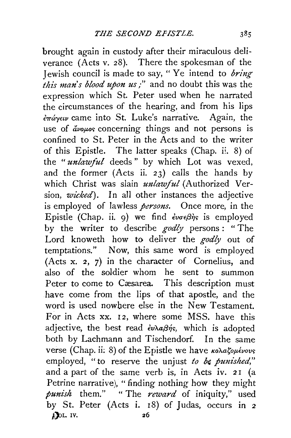brought again in custody after their miraculous deliverance (Acts v. 28). There the spokesman of the Jewish council is made to say, " Ye intend to *bring this man's blood upon us/'* and no doubt this was the expression which St. Peter used when he narrated the circumstances of the hearing, and from his lips *hraryew* came into St. Luke's narrative. Again, the use of  $\frac{d}{dx}$  *avouos* concerning things and not persons is confined to St. Peter in the Acts and to the writer of this Epistle. The latter speaks (Chap. ii. 8) of the *"unlawful* deeds " by which Lot was vexed, and the former  $(Acts$  ii. 23) calls the hands by which Christ was slain *unlawful* (Authorized Version, *wicked).* In all other instances the adjective is employed of lawless *persons.* Once more, in the Epistle (Chap. ii. 9) we find  $\partial \sigma \in \beta \gamma$  is employed by the writer to describe *godly* persons : " The Lord knoweth how to deliver the *godly* out of temptations." Now, this same word is employed (Acts x. 2, 7) in the character of Cornelius, and also of the soldier whom he sent to summon Peter to come to Cæsarea. This description must have come from the lips of that apostle, and the word is used nowhere else in the New Testament. For in Acts XX. I2, where some MSS. have this adjective, the best read  $\partial \nu \lambda \alpha \beta \eta s$ , which is adopted both by Lachmann and Tischendorf. In the same verse (Chap. ii: 8) of the Epistle we have *κολαζομένους* employed, "to reserve the unjust *to be punished*," and a part of the same verb is, in Acts iv. 21 (a Petrine narrative), "finding nothing how they might *punish* them." " The *reward* of iniquity," used by St. Peter (Acts i. IS) of Judas, occurs in 2 f, Jol. IV. 26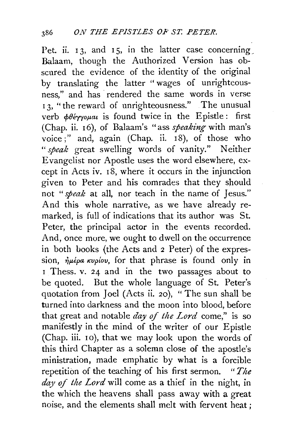Pet. ii.  $13$ , and  $15$ , in the latter case concerning Balaam, though the Authorized Version has obscured the evidence of the identity of the original by translating the latter "wages of unrighteousness," and has rendered the same words in verse <sup>I</sup>3, "the reward of unrighteousness." The unusual verb  $\phi \theta \acute{\epsilon} \gamma \gamma \rho \mu a \mu$  is found twice in the Epistle: first (Chap. ii. I6), of Balaam's "ass *speaking* with man's voice;" and, again (Chap. ii.  $18$ ), of those who *"speak* great swelling words of vanity." Neither Evangelist nor Apostle uses the word elsewhere, except in Acts iv. I8, where it occurs in the injunction given to Peter and his comrades that they should not *"speak* at all, nor teach in the name of Jesus." And this whole narrative, as we have already remarked, is full of indications that its author was St. Peter, the principal actor in the events recorded. And, once more, we ought to dwell on the occurrence in both books (the Acts and 2 Peter) of the expression,  $\dot{\eta}\mu\dot{\epsilon}\rho a \kappa\nu\rho' \omega v$ , for that phrase is found only in <sup>I</sup>Thess. v. 24 and in the two passages about to be quoted. But the whole language of St. Peter's quotation from Joel (Acts ii. 20), "The sun shall be turned into darkness and the moon into blood, before that great and notable *day of the Lord* come," is so manifestly in the mind of the writer of our Epistle (Chap. iii. 10), that we may look upon the words of this third Chapter as a solemn close of the apostle's ministration, made emphatic by what is a forcible repetition of the teaching of his first sermon. *"The*  day of the Lord will come as a thief in the night, in the which the heavens shall pass away with a great noise, and the elements shall melt with fervent heat ;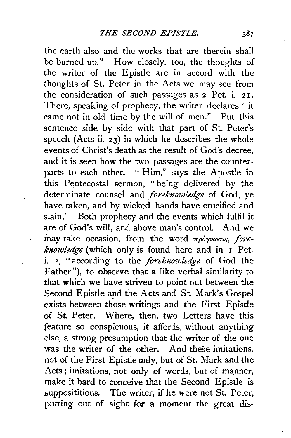the earth also and the works that are therein shall be burned up." How closely, too, the thoughts of the writer of the Epistle are in accord with the thoughts of St. Peter in the Acts we may see from the consideration of such passages as 2 Pet. i. 2 I. There, speaking of prophecy, the writer declares "it came not in old time by the will of men." Put this sentence side by side with that part of St. Peter's speech (Acts ii.  $23$ ) in which he describes the whole events of Christ's death as the result of God's decree, and it is seen how the two passages are the counterparts to each other. " Him," says the Apostle in this Pentecostal sermon, "being delivered by the determinate counsel and *foreknowledge* of God, ye have taken, and by wicked hands have crucified and slain." Both prophecy and the events which fulfil it are of God's will, and above man's control. And we may take occasion, from the word *πρόγνωσις*, fore*knowledge* (which only is found here and in I Pet. i. 2, "according to the *foreknowledge* of God the Father"), to observe that a like verbal similarity to that which we have striven to point out between the Second Epistle and the Acts and St. Mark's Gospel exists between those writings and the First Epistle of St. Peter. Where, then, two Letters have this feature so conspicuous, it affords, without anything else, a strong presumption that the writer of the one was the writer of the other. And these imitations, not of the First Epistle only, but of St. Mark and the Acts; imitations, not only of words, but of manner, make it hard to conceive that the Second Epistle is supposititious. The writer, if he were not St. Peter, putting out of sight for a moment the great dis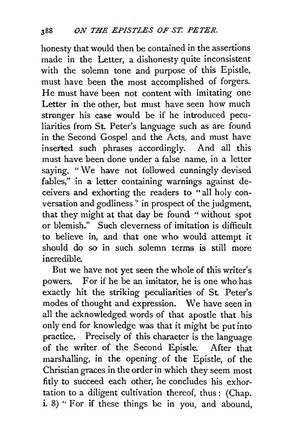honesty that would then be contained in the assertions made in the Letter, a dishonesty quite inconsistent with the solemn tone and purpose of this Epistle, must have been the most accomplished of forgers. He must have been not content with imitating one Letter in the other, but must have seen how much stronger his case would be if he introduced peculiarities from St. Peter's language such as are found in the Second Gospel and the Acts, and must have inserted such phrases accordingly. And all this must have been done under a false name, in a letter saying, "We have not followed cunningly devised fables," in a letter containing warnings against deceivers and exhorting the readers to "all holy conversation and godliness" in prospect of the judgment, that they might at that day be found " without spot or blemish." Such cleverness of imitation is difficult to believe in, and that one who would attempt it should do so in such solemn terms is still more incredible.

But we have not yet seen the whole of this writer's powers. For if he be an imitator, he is one who has exactly hit the striking peculiarities of St Peter's modes of thought and expression. We have seen in all the acknowledged words of that apostle that his only end for knowledge was that it might be put into practice. Precisely of this character is the language of the writer of the Second Epistle. After that marshalling, in the opening of the Epistle, of the Christian graces in the order in which they seem most fitly to succeed each other, he concludes his exhortation to a diligent cultivation thereof, thus: (Chap. i. 8) " For if these things be in you, and abound,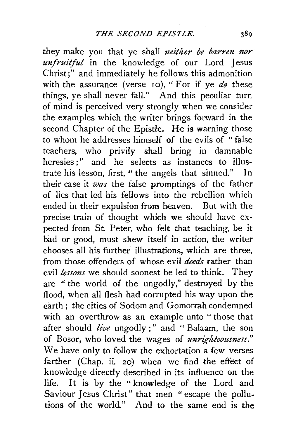they make you that ye shall *neither be barren nor unfruitful* in the knowledge of our Lord Jesus Christ;" and immediately he follows this admonition with the assurance (verse 10), "For if ye  $d\theta$  these things, ye shall never fall." And this peculiar turn of mind is perceived very strongly when we consider the examples which the writer brings forward in the second Chapter of the Epistle. He is warning those to whom he addresses himself of the evils of "false teachers, who privily shall bring in damnable heresies :" and he selects as instances to illustrate his lesson, first, " the angels that sinned." In their case it *was* the false promptings of the father of lies that led his fellows into the rebellion which ended in their expulsion from heaven. But with the precise train of thought which we should have expected from St. Peter, who felt that teaching, be it had or good, must shew itself in action, the writer chooses all his further illustrations, which are three, from those offenders of whose evil *deeds* rather than evil *lessons* we should soonest be led to think. They are " the world of the ungodly," destroyed by the flood, when all flesh had corrupted his way upon the earth ; the cities of Sodom and Gomorrah condemned with an overthrow as an example unto " those that after should *live* ungodly;" and " Balaam, the son of Bosor, who loved the wages of *unrighteousness."*  We have only to follow the exhortation a few verses farther (Chap. ii. 20) when we find the effect of knowledge directly described in its influence on the life. It is by the " knowledge of the Lord and Saviour Jesus Christ" that men " escape the pollutions of the world." And to the same end is the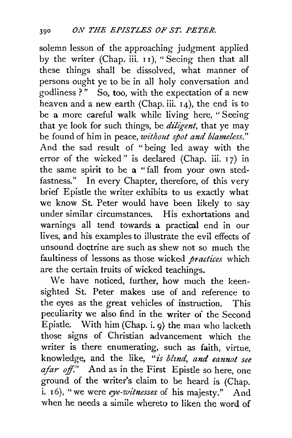solemn lesson of the approaching judgment applied by the writer (Chap. iii. 11), "Seeing then that all these things shall be dissolved, what manner of persons ought ye to be in all holy conversation and godliness  $?$ " So, too, with the expectation of a new heaven and a new earth (Chap. iii.  $14$ ), the end is to be a more careful walk while living here, " Seeing that ye look for such things, be *diligent,* that ye may be found of him in peace, *without spot and blameless."*  And the sad result of "being led away with the error of the wicked" is declared (Chap. iii. 17) in the same spirit to be a "fall from your own stedfastness." In every Chapter, therefore, of this very brief Epistle the writer exhibits to us exactly what we know St. Peter would have been likely to say under similar circumstances. His exhortations and warnings all tend towards a practical end in our lives, and his examples to illustrate the evil effects of unsound doctrine are such as shew not so much the faultiness of lessons as those wicked *practices* which are the certain fruits of wicked teachings.

We have noticed, further, how much the keensighted St. Peter makes use of and reference to the eyes as the great vehicles of instruction. This peculiarity we also find in the writer of the Second Epistle. With him (Chap. i. 9) the man who lacketh those signs of Christian advancement which the writer is there enumerating, such as faith, virtue, knowledge, and the like, *"is blznd, and cannot see afar off."* And as in the First Epistle so here, one ground of the writer's claim to be heard is (Chap. i. 16), "we were *eye-witnesses* of his majesty." And when he needs a simile whereto to liken the word of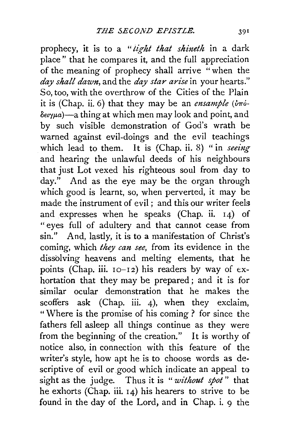prophecy, it is to a *"tight that shineth* in a dark place" that he compares it, and the full appreciation of the meaning of prophecy shall arrive "when the *day shall dawn,* and the *day star arise* in your hearts." So, too, with the overthrow of the Cities of the Plain it is (Chap. ii. 6) that they may be an *ensample*  $(\partial \pi \phi \delta e \gamma \mu a$ )-a thing at which men may look and point, and by such visible demonstration of God's wrath be warned against evil-doings and the evil teachings which lead to them. It is (Chap. ii. 8) " in *seeing* and hearing the unlawful deeds of his neighbours that just Lot vexed his righteous soul from day to day." And as the eye may be the organ through which good is learnt, so, when perverted, it may be made the instrument of evil ; and this our writer feels and expresses when he speaks (Chap. ii. 14) of " eyes full of adultery and that cannot cease from sin." And, lastly, it is to a manifestation of Christ's coming, which *they can see,* from its evidence in the dissolving heavens and melting elements, that he points (Chap. iii.  $10-12$ ) his readers by way of  $ex$ hortation that they may be prepared ; and it is for similar ocular demonstration that he makes the scoffers ask (Chap. iii. 4), when they exclaim, " Where is the promise of his coming ? for since the fathers fell asleep all things continue as they were from the beginning of the creation." It is worthy of notice also, in connection with this feature of the writer's style, how apt he is to choose words as descriptive of evil or good which indicate an appeal to sight as the judge. Thus it is *"without spot"* that he exhorts (Chap. iii. 14) his hearers to strive to be found in the day of the Lord, and in Chap. i. 9 the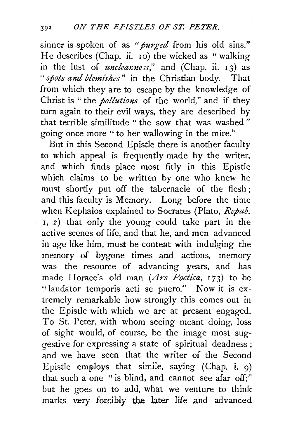sinner is spoken of as *"purged* from his old sins." He describes (Chap. ii. 10) the wicked as "walking in the lust of *uncleanness*," and (Chap. ii. 13) as " *spots and blemishes* " in the Christian body. That from which they are to escape by the knowledge of Christ is " the *pollutions* of the world," and if they turn again to their evil ways, they are described by that terrible similitude " the sow that was washed " going once more " to her wallowing in the mire."

But in this Second Epistle there is another faculty to which appeal is frequently made by the writer, and which finds place most fitly in this Epistle which claims to be written by one who knew he must shortly put off the tabernacle of the flesh ; and this faculty is Memory. Long before the time when Kephalos explained to Socrates (Plato, *Repub.*  I, 2) that only the young could take part in the active scenes of life, and that he, and men advanced in age like him, must be content with indulging the memory of bygone times and actions, memory was the resource of advancing years, and has made Horace's old man (Ars Poetica, 173) to be " laudator temporis acti se puero." Now it is extremely remarkable how strongly this comes out in the Epistle with which we are at present engaged. To St. Peter, with whom seeing meant doing, loss of sight would, of course, be the image most suggestive for expressing a state of spiritual deadness; and we have seen that the writer of the Second Epistle employs that simile, saying (Chap. i. 9) that such a one "is blind, and cannot see afar off;" but he goes on to add, what we venture to think marks very forcibly the later life and advanced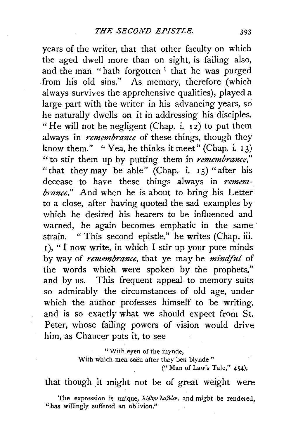years of the writer, that that other faculty on which the aged dwell more than on sight, is failing also, and the man "hath forgotten<sup>1</sup> that he was purged from his old sins." As memory, therefore (which always survives the apprehensive qualities), played a large part with the writer in his advancing years, so he naturally dwells on it in addressing his disciples. " He will not be negligent (Chap. i. 12) to put them always in *remembrance* of these things, though they know them." " Yea, he thinks it meet" (Chap. i.  $13$ ) "to stir them up by putting them in *remembrance,"*  "that they may be able" (Chap. i. 15) "after his decease to have these things always in *remembrance."* And when he is about to bring his Letter to a close, after having quoted the sad examples by which he desired his hearers to be influenced and warned, he again becomes emphatic in the same strain. " This second epistle," he writes (Chap. iii. 1), "I now write, in which I stir up your pure minds by way of *remembrance,* that ye may be *minciful* of the words which were spoken by the prophets," and by us. This frequent appeal to memory suits so admirably the circumstances of old age, under which the author professes himself to be writing, and is so exactly what we should expect from St. Peter, whose failing powers of vision would drive him, as Chaucer puts it, to see

> "With eyen of the mynde, With which men seen after they ben blynde" (" Man of Law's Tale," 454),

that though it might not be of great weight were

The expression is unique,  $\lambda \eta \theta \eta \nu \lambda \alpha \beta \dot{\omega} \nu$ , and might be rendered, "has willingly suffered an oblivion."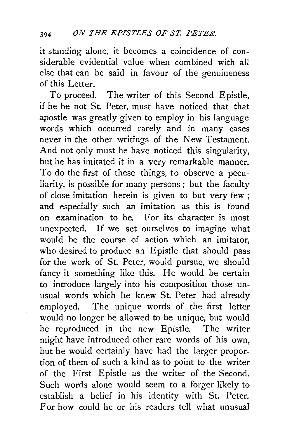it standing alone, it becomes a coincidence of considerable evidential value when combined with all else that can be said in favour of the genuineness of this Letter.

To proceed. The writer of this Second Epistle, if he be not St. Peter, must have noticed that that apostle was greatly given to employ in his language words which occurred rarely and in many cases never in the other writings of the New Testament. And not only must he have noticed this singularity, but he has imitated it in a very remarkable manner. To do the first of these things, to observe a peculiarity, is possible for many persons ; but the faculty of close imitation herein is given to but very few ; and especially such an imitation as this is found on examination to be. For its character is most unexpected. If we set ourselves to imagine what would be the course of action which an imitator, who desired to produce an Epistle that should pass for the work of St. Peter, would pursue, we should fancy it something like this. He would be certain to introduce largely into his composition those unusual words which he knew St. Peter had already employed. The unique words of the first letter would no longer be allowed to be unique, but would be reproduced in the new Epistle. The writer might have introduced other rare words of his own, but he would certainly have had the larger proportion of them of such a kind as to point to the writer of the First Epistle as the writer of the Second. Such words alone would seem to a forger likely to establish a belief in his identity with St. Peter. For how could he or his readers tell what unusual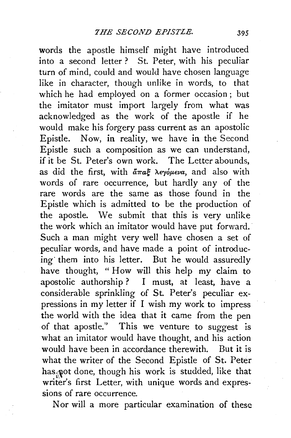words the apostle himself might have introduced into a second letter ? St. Peter, with his peculiar turn of mind, could and would have chosen language like in character, though unlike in words, to that which he had employed on a former occasion ; but the imitator must import largely from what was acknowledged as the work of the apostle if he would make his forgery pass· current as an apostolic Epistle. Now, in reality, we have in the Second Epistle such a composition as we can understand, if it be St. Peter's own work. The Letter abounds, as did the first, with  $\tilde{a}\pi a \xi$   $\lambda \epsilon \gamma \delta \mu \epsilon \nu a$ , and also with words of rare occurrence, but hardly any of the rare words are the same as those found in the Epistle which is admitted to be the production of the apostle. We submit that this is very unlike the work which an imitator would have put forward. Such a man might very well have chosen a set of peculiar words, and have made a point of introducing· them into his letter. But he would assuredly have thought, " How will this help my claim to apostolic authorship? I must, at least, have a considerable sprinkling of St. Peter's peculiar expressions in my letter if I wish my work to impress the world with the idea that it came from the pen of that apostle." This we venture to suggest is what an imitator would have thought, and his action would have been in accordance therewith. But it is what the writer of the Second Epistle of St. Peter has<sub></sub> pot done, though his work is studded, like that writer's first Letter, with unique words and expressions of rare occurrence.

Nor will a more particular examination of these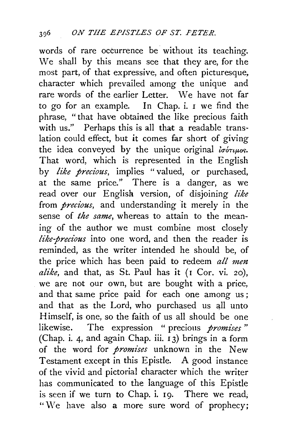words of rare occurrence be without its teaching. We shall by this means see that they are, for the most part, of that expressive, and often picturesque, character which prevailed among the unique and rare words of the earlier Letter. We have not far *to* go for an example. In Chap. i. I we find the phrase, "that have obtained the like precious faith with us." Perhaps this is all that a readable translation could effect, but **it** comes far short of giving the idea conveyed by the unique original  $i\sigma\acute{o}\tau\mu\rho\sigma$ . That word, which is represented in the English by *like precious,* implies "valued, or purchased, at the same price." There is a danger, as we read over our English version, of disjoining *like*  from *precious,* and understanding it merely in the sense of *the same,* whereas to attain to the meaning of the author we must combine most closely *like-precious* into one word, and then the reader is reminded, as the writer intended he should be, of the price which has been paid to redeem *all men alike,* and that, as St. Paul has **it** (I Cor. vi. 20), we are not our own, but are bought with a price, and that same price paid for each one among us ; and that as the Lord, who purchased us all unto Himself, is one, so the faith of us all should be one likewise. The expression " precious *promises* " (Chap. i. 4, and again Chap. iii. I 3) brings in a form of the word for *promises* unknown in the New Testament except in this Epistle. A good instance of the vivid and pictorial character which the writer has communicated to the language of this Epistle is seen if we turn to Chap. i. 19. There we read, "We have also a more sure word of prophecy;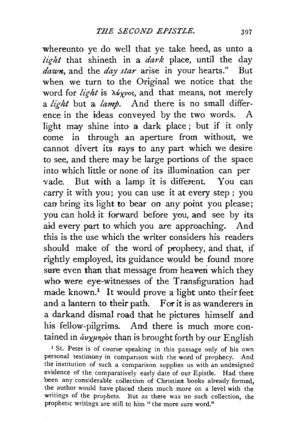whereunto ye do well that ye take heed, as unto a *light* that shineth in a *dark* place, until the day *dawn,* and the *day star* arise in your hearts.'' But when we turn to the Original we notice that the word for *light* is  $\lambda \psi_{\chi}$ *vos*, and that means, not merely a *light* but a *lamp.* And there is no small difference in the ideas conveyed by the two words. A light may shine into· a dark place ; but if it only come in through an aperture from without, we cannot divert its rays to any part which we desire to see, and there may be large portions of the space into which little or none of its illumination can per vade. But with a lamp it is different. You can carry it with you; you can use it at every step ; you can bring its light to bear on any point you please; you can hold it forward before you, and see by its aid every part to which you are approaching. And this is the use which the writer considers his readers should make of the word of prophecy, and that, if rightly employed, its guidance would be found more sure even than that message from heaven which they who were eye-witnesses of the Transfiguration had made known.<sup>1</sup> It would prove a light unto their feet and a lantern to their path. For it is as wanderers in a darkand dismal road that he pictures himself and his fellow-pilgrims. And there is much more contained in  $\partial \nu \chi \mu \eta \rho \delta s$  than is brought forth by our English <sup>1</sup> St. Peter is of course speaking in this passage only of his own

personal testimony in comparison with the word of prophecy. And the institution of such a comparison supplies us with an undesigned evidence of the comparatively early date of our Epistle. Had there been any considerable collection of Christian books already formed, the author would have placed them much more on a level with the writings of the prophets. But as there was no such collection, the prophetic writings are still to him " the more sure word."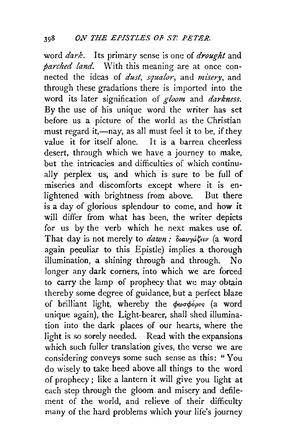word *dark.* Its primary sense is one of *drought* and *parched land.* With this meaning are at once connected the ideas of *dust, squalor,* and *misery,* and through these gradations there is imported into the word its later signification of *gloom* and *darkness.*  By the use of his unique word the writer has set before us a picture of the world as the Christian must regard it,—nay, as all must feel it to be, if they value it for itself alone. It is a barren cheerless desert, through which we have a journey to make, but the intricacies and difficulties of which continually perplex us, and which is sure to be full of miseries and discomforts except where it is enlightened with brightness from above. But there is a day of glorious splendour to come, and how it will differ from what has been, the writer depicts for us by the verb which he next makes use of. That day is not merely to *dawn* :  $\delta u \rightarrow u \rightarrow u$  (a word again peculiar to this Epistle) implies a thorough illumination, a shining through and through. No longer any dark corners, into which we are forced to carry the lamp of prophecy that we may obtain thereby some degree of guidance, but a perfect blaze of brilliant light, whereby the  $\phi\omega\sigma\phi\phi\rho$  (a word unique again), the Light-bearer, shall shed illumination into the dark places of our hearts, where the light *is* so sorely needed. Read with the expansions which such fuller translation gives, the verse we are considering conveys some such sense as this: " You do wisely to take heed above all things to the word of prophecy; like a lantern it will give you light at each step through the gloom and misery and defilement of the world, and relieve of their difficulty many of the hard problems which your life's journey